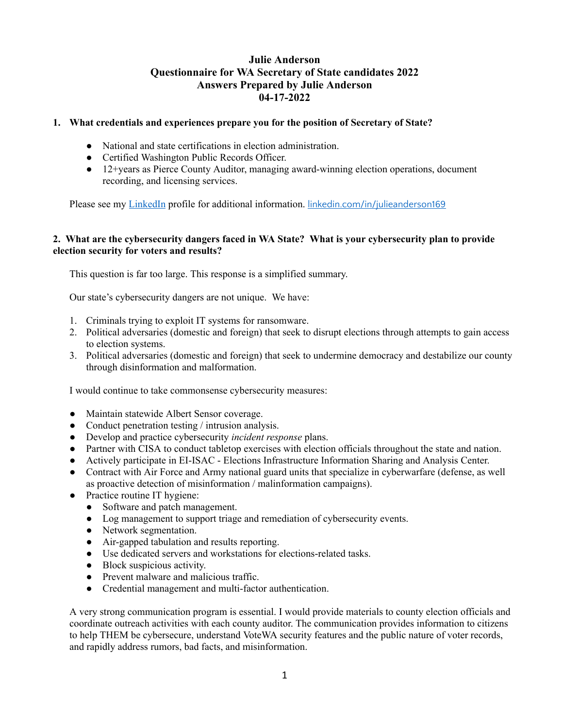# **Julie Anderson Questionnaire for WA Secretary of State candidates 2022 Answers Prepared by Julie Anderson 04-17-2022**

### **1. What credentials and experiences prepare you for the position of Secretary of State?**

- National and state certifications in election administration.
- Certified Washington Public Records Officer.
- 12+years as Pierce County Auditor, managing award-winning election operations, document recording, and licensing services.

Please see my LinkedIn profile for additional information. [linkedin.com/in/julieanderson169](https://www.linkedin.com/in/julieanderson169?lipi=urn%3Ali%3Apage%3Ad_flagship3_profile_view_base_contact_details%3BJPNDIHmTSX2a02eYOJq0cw%3D%3D)

### **2. What are the cybersecurity dangers faced in WA State? What is your cybersecurity plan to provide election security for voters and results?**

This question is far too large. This response is a simplified summary.

Our state's cybersecurity dangers are not unique. We have:

- 1. Criminals trying to exploit IT systems for ransomware.
- 2. Political adversaries (domestic and foreign) that seek to disrupt elections through attempts to gain access to election systems.
- 3. Political adversaries (domestic and foreign) that seek to undermine democracy and destabilize our county through disinformation and malformation.

I would continue to take commonsense cybersecurity measures:

- Maintain statewide Albert Sensor coverage.
- Conduct penetration testing / intrusion analysis.
- Develop and practice cybersecurity *incident response* plans.
- Partner with CISA to conduct tabletop exercises with election officials throughout the state and nation.
- Actively participate in EI-ISAC Elections Infrastructure Information Sharing and Analysis Center.
- Contract with Air Force and Army national guard units that specialize in cyberwarfare (defense, as well as proactive detection of misinformation / malinformation campaigns).
- Practice routine IT hygiene:
	- Software and patch management.
	- Log management to support triage and remediation of cybersecurity events.
	- Network segmentation.
	- Air-gapped tabulation and results reporting.
	- Use dedicated servers and workstations for elections-related tasks.
	- Block suspicious activity.
	- Prevent malware and malicious traffic.
	- Credential management and multi-factor authentication.

A very strong communication program is essential. I would provide materials to county election officials and coordinate outreach activities with each county auditor. The communication provides information to citizens to help THEM be cybersecure, understand VoteWA security features and the public nature of voter records, and rapidly address rumors, bad facts, and misinformation.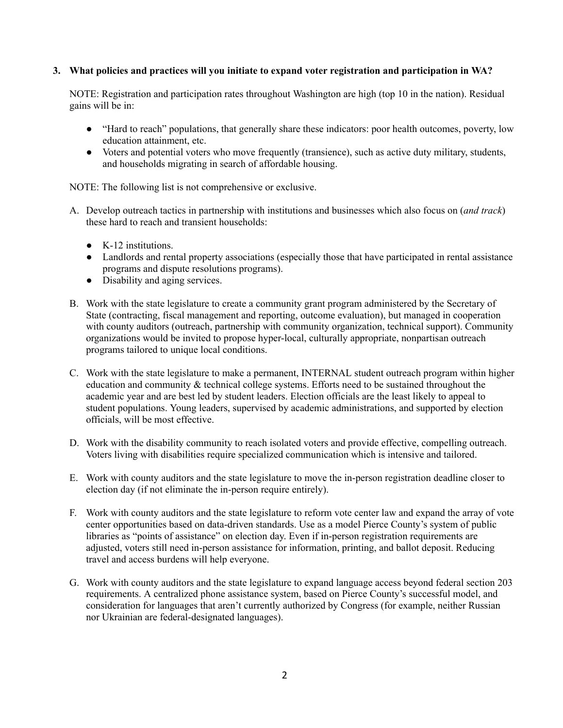### **3. What policies and practices will you initiate to expand voter registration and participation in WA?**

NOTE: Registration and participation rates throughout Washington are high (top 10 in the nation). Residual gains will be in:

- "Hard to reach" populations, that generally share these indicators: poor health outcomes, poverty, low education attainment, etc.
- Voters and potential voters who move frequently (transience), such as active duty military, students, and households migrating in search of affordable housing.

NOTE: The following list is not comprehensive or exclusive.

- A. Develop outreach tactics in partnership with institutions and businesses which also focus on (*and track*) these hard to reach and transient households:
	- K-12 institutions.
	- Landlords and rental property associations (especially those that have participated in rental assistance programs and dispute resolutions programs).
	- Disability and aging services.
- B. Work with the state legislature to create a community grant program administered by the Secretary of State (contracting, fiscal management and reporting, outcome evaluation), but managed in cooperation with county auditors (outreach, partnership with community organization, technical support). Community organizations would be invited to propose hyper-local, culturally appropriate, nonpartisan outreach programs tailored to unique local conditions.
- C. Work with the state legislature to make a permanent, INTERNAL student outreach program within higher education and community & technical college systems. Efforts need to be sustained throughout the academic year and are best led by student leaders. Election officials are the least likely to appeal to student populations. Young leaders, supervised by academic administrations, and supported by election officials, will be most effective.
- D. Work with the disability community to reach isolated voters and provide effective, compelling outreach. Voters living with disabilities require specialized communication which is intensive and tailored.
- E. Work with county auditors and the state legislature to move the in-person registration deadline closer to election day (if not eliminate the in-person require entirely).
- F. Work with county auditors and the state legislature to reform vote center law and expand the array of vote center opportunities based on data-driven standards. Use as a model Pierce County's system of public libraries as "points of assistance" on election day. Even if in-person registration requirements are adjusted, voters still need in-person assistance for information, printing, and ballot deposit. Reducing travel and access burdens will help everyone.
- G. Work with county auditors and the state legislature to expand language access beyond federal section 203 requirements. A centralized phone assistance system, based on Pierce County's successful model, and consideration for languages that aren't currently authorized by Congress (for example, neither Russian nor Ukrainian are federal-designated languages).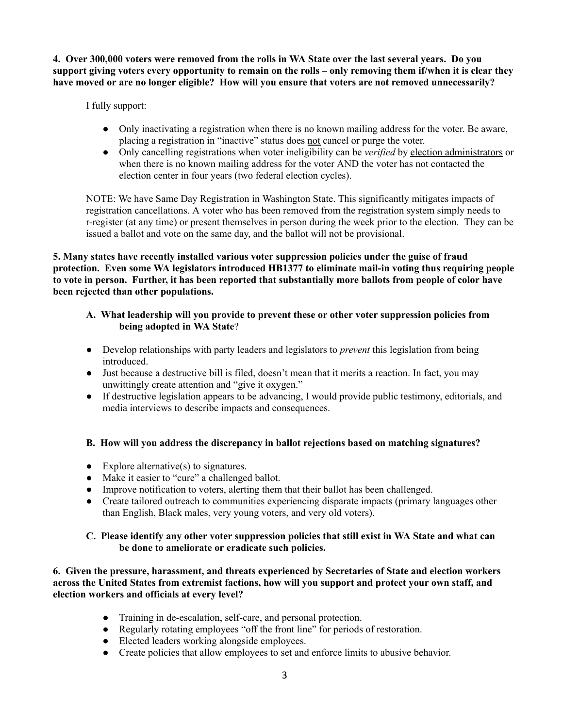4. Over 300,000 voters were removed from the rolls in WA State over the last several years. Do you support giving voters every opportunity to remain on the rolls – only removing them if/when it is clear they **have moved or are no longer eligible? How will you ensure that voters are not removed unnecessarily?**

I fully support:

- Only inactivating a registration when there is no known mailing address for the voter. Be aware, placing a registration in "inactive" status does not cancel or purge the voter.
- Only cancelling registrations when voter ineligibility can be *verified* by election administrators or when there is no known mailing address for the voter AND the voter has not contacted the election center in four years (two federal election cycles).

NOTE: We have Same Day Registration in Washington State. This significantly mitigates impacts of registration cancellations. A voter who has been removed from the registration system simply needs to r-register (at any time) or present themselves in person during the week prior to the election. They can be issued a ballot and vote on the same day, and the ballot will not be provisional.

**5. Many states have recently installed various voter suppression policies under the guise of fraud protection. Even some WA legislators introduced HB1377 to eliminate mail-in voting thus requiring people** to vote in person. Further, it has been reported that substantially more ballots from people of color have **been rejected than other populations.**

# **A. What leadership will you provide to prevent these or other voter suppression policies from being adopted in WA State**?

- Develop relationships with party leaders and legislators to *prevent* this legislation from being **introduced**
- Just because a destructive bill is filed, doesn't mean that it merits a reaction. In fact, you may unwittingly create attention and "give it oxygen."
- If destructive legislation appears to be advancing, I would provide public testimony, editorials, and media interviews to describe impacts and consequences.

# **B. How will you address the discrepancy in ballot rejections based on matching signatures?**

- $\bullet$  Explore alternative(s) to signatures.
- Make it easier to "cure" a challenged ballot.
- Improve notification to voters, alerting them that their ballot has been challenged.
- Create tailored outreach to communities experiencing disparate impacts (primary languages other than English, Black males, very young voters, and very old voters).

### **C. Please identify any other voter suppression policies that still exist in WA State and what can be done to ameliorate or eradicate such policies.**

**6. Given the pressure, harassment, and threats experienced by Secretaries of State and election workers across the United States from extremist factions, how will you support and protect your own staff, and election workers and officials at every level?**

- Training in de-escalation, self-care, and personal protection.
- Regularly rotating employees "off the front line" for periods of restoration.
- Elected leaders working alongside employees.
- Create policies that allow employees to set and enforce limits to abusive behavior.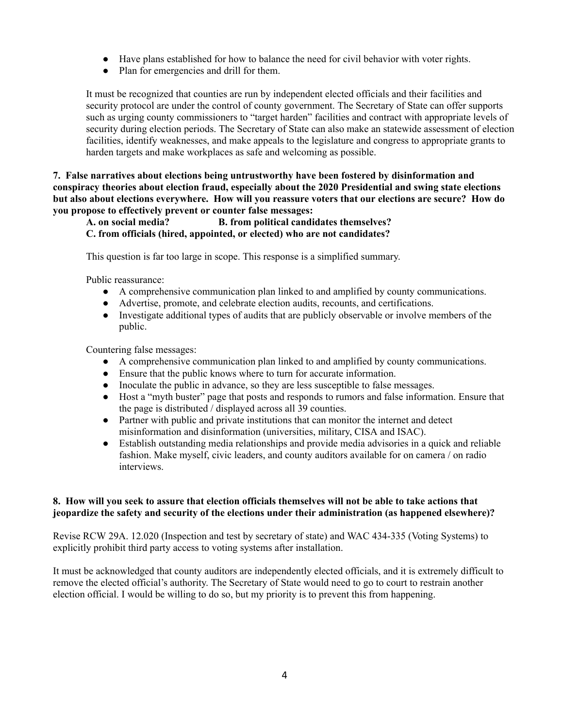- Have plans established for how to balance the need for civil behavior with voter rights.
- Plan for emergencies and drill for them.

It must be recognized that counties are run by independent elected officials and their facilities and security protocol are under the control of county government. The Secretary of State can offer supports such as urging county commissioners to "target harden" facilities and contract with appropriate levels of security during election periods. The Secretary of State can also make an statewide assessment of election facilities, identify weaknesses, and make appeals to the legislature and congress to appropriate grants to harden targets and make workplaces as safe and welcoming as possible.

**7. False narratives about elections being untrustworthy have been fostered by disinformation and conspiracy theories about election fraud, especially about the 2020 Presidential and swing state elections but also about elections everywhere. How will you reassure voters that our elections are secure? How do you propose to effectively prevent or counter false messages:**

# **A. on social media? B. from political candidates themselves?**

# **C. from officials (hired, appointed, or elected) who are not candidates?**

This question is far too large in scope. This response is a simplified summary.

Public reassurance:

- A comprehensive communication plan linked to and amplified by county communications.
- Advertise, promote, and celebrate election audits, recounts, and certifications.
- Investigate additional types of audits that are publicly observable or involve members of the public.

Countering false messages:

- A comprehensive communication plan linked to and amplified by county communications.
- Ensure that the public knows where to turn for accurate information.
- Inoculate the public in advance, so they are less susceptible to false messages.
- Host a "myth buster" page that posts and responds to rumors and false information. Ensure that the page is distributed / displayed across all 39 counties.
- Partner with public and private institutions that can monitor the internet and detect misinformation and disinformation (universities, military, CISA and ISAC).
- Establish outstanding media relationships and provide media advisories in a quick and reliable fashion. Make myself, civic leaders, and county auditors available for on camera / on radio interviews.

### 8. How will you seek to assure that election officials themselves will not be able to take actions that **jeopardize the safety and security of the elections under their administration (as happened elsewhere)?**

Revise RCW 29A. 12.020 (Inspection and test by secretary of state) and WAC 434-335 (Voting Systems) to explicitly prohibit third party access to voting systems after installation.

It must be acknowledged that county auditors are independently elected officials, and it is extremely difficult to remove the elected official's authority. The Secretary of State would need to go to court to restrain another election official. I would be willing to do so, but my priority is to prevent this from happening.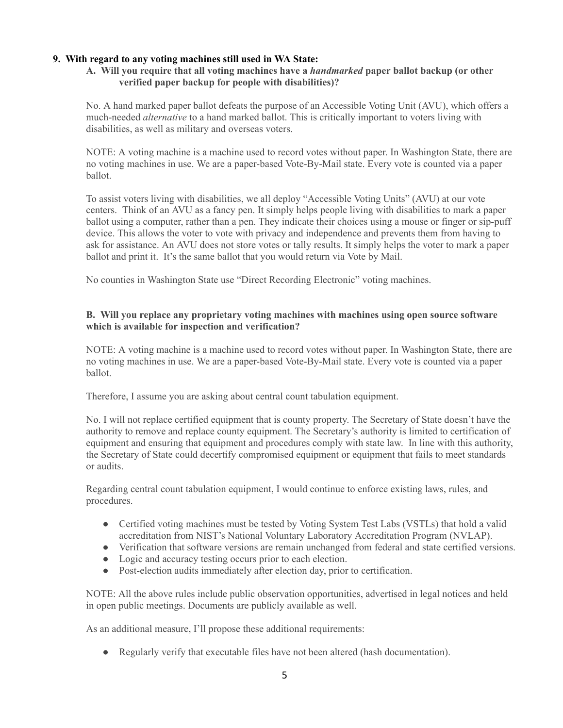### **9. With regard to any voting machines still used in WA State:**

### **A. Will you require that all voting machines have a** *handmarked* **paper ballot backup (or other verified paper backup for people with disabilities)?**

No. A hand marked paper ballot defeats the purpose of an Accessible Voting Unit (AVU), which offers a much-needed *alternative* to a hand marked ballot. This is critically important to voters living with disabilities, as well as military and overseas voters.

NOTE: A voting machine is a machine used to record votes without paper. In Washington State, there are no voting machines in use. We are a paper-based Vote-By-Mail state. Every vote is counted via a paper ballot.

To assist voters living with disabilities, we all deploy "Accessible Voting Units" (AVU) at our vote centers. Think of an AVU as a fancy pen. It simply helps people living with disabilities to mark a paper ballot using a computer, rather than a pen. They indicate their choices using a mouse or finger or sip-puff device. This allows the voter to vote with privacy and independence and prevents them from having to ask for assistance. An AVU does not store votes or tally results. It simply helps the voter to mark a paper ballot and print it. It's the same ballot that you would return via Vote by Mail.

No counties in Washington State use "Direct Recording Electronic" voting machines.

### **B. Will you replace any proprietary voting machines with machines using open source software which is available for inspection and verification?**

NOTE: A voting machine is a machine used to record votes without paper. In Washington State, there are no voting machines in use. We are a paper-based Vote-By-Mail state. Every vote is counted via a paper ballot.

Therefore, I assume you are asking about central count tabulation equipment.

No. I will not replace certified equipment that is county property. The Secretary of State doesn't have the authority to remove and replace county equipment. The Secretary's authority is limited to certification of equipment and ensuring that equipment and procedures comply with state law. In line with this authority, the Secretary of State could decertify compromised equipment or equipment that fails to meet standards or audits.

Regarding central count tabulation equipment, I would continue to enforce existing laws, rules, and procedures.

- Certified voting machines must be tested by Voting System Test Labs (VSTLs) that hold a valid accreditation from NIST's National Voluntary Laboratory Accreditation Program (NVLAP).
- Verification that software versions are remain unchanged from federal and state certified versions.
- Logic and accuracy testing occurs prior to each election.
- Post-election audits immediately after election day, prior to certification.

NOTE: All the above rules include public observation opportunities, advertised in legal notices and held in open public meetings. Documents are publicly available as well.

As an additional measure, I'll propose these additional requirements:

● Regularly verify that executable files have not been altered (hash documentation).